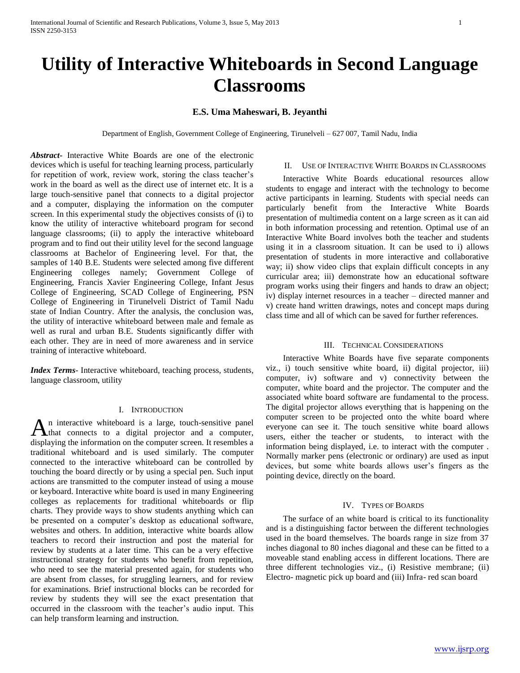# **Utility of Interactive Whiteboards in Second Language Classrooms**

# **E.S. Uma Maheswari, B. Jeyanthi**

Department of English, Government College of Engineering, Tirunelveli – 627 007, Tamil Nadu, India

*Abstract***-** Interactive White Boards are one of the electronic devices which is useful for teaching learning process, particularly for repetition of work, review work, storing the class teacher's work in the board as well as the direct use of internet etc. It is a large touch-sensitive panel that connects to a digital projector and a computer, displaying the information on the computer screen. In this experimental study the objectives consists of (i) to know the utility of interactive whiteboard program for second language classrooms; (ii) to apply the interactive whiteboard program and to find out their utility level for the second language classrooms at Bachelor of Engineering level. For that, the samples of 140 B.E. Students were selected among five different Engineering colleges namely; Government College of Engineering, Francis Xavier Engineering College, Infant Jesus College of Engineering, SCAD College of Engineering, PSN College of Engineering in Tirunelveli District of Tamil Nadu state of Indian Country. After the analysis, the conclusion was, the utility of interactive whiteboard between male and female as well as rural and urban B.E. Students significantly differ with each other. They are in need of more awareness and in service training of interactive whiteboard.

*Index Terms*- Interactive whiteboard, teaching process, students, language classroom, utility

## I. INTRODUCTION

n interactive whiteboard is a large, touch-sensitive panel An interactive whiteboard is a large, touch-sensitive panel<br>that connects to a digital projector and a computer, displaying the information on the computer screen. It resembles a traditional whiteboard and is used similarly. The computer connected to the interactive whiteboard can be controlled by touching the board directly or by using a special pen. Such input actions are transmitted to the computer instead of using a mouse or keyboard. Interactive white board is used in many Engineering colleges as replacements for traditional whiteboards or flip charts. They provide ways to show students anything which can be presented on a computer's desktop as educational software, websites and others. In addition, interactive white boards allow teachers to record their instruction and post the material for review by students at a later time. This can be a very effective instructional strategy for students who benefit from repetition, who need to see the material presented again, for students who are absent from classes, for struggling learners, and for review for examinations. Brief instructional blocks can be recorded for review by students they will see the exact presentation that occurred in the classroom with the teacher's audio input. This can help transform learning and instruction.

# II. USE OF INTERACTIVE WHITE BOARDS IN CLASSROOMS

 Interactive White Boards educational resources allow students to engage and interact with the technology to become active participants in learning. Students with special needs can particularly benefit from the Interactive White Boards presentation of multimedia content on a large screen as it can aid in both information processing and retention. Optimal use of an Interactive White Board involves both the teacher and students using it in a classroom situation. It can be used to i) allows presentation of students in more interactive and collaborative way; ii) show video clips that explain difficult concepts in any curricular area; iii) demonstrate how an educational software program works using their fingers and hands to draw an object; iv) display internet resources in a teacher – directed manner and v) create hand written drawings, notes and concept maps during class time and all of which can be saved for further references.

## III. TECHNICAL CONSIDERATIONS

 Interactive White Boards have five separate components viz., i) touch sensitive white board, ii) digital projector, iii) computer, iv) software and v) connectivity between the computer, white board and the projector. The computer and the associated white board software are fundamental to the process. The digital projector allows everything that is happening on the computer screen to be projected onto the white board where everyone can see it. The touch sensitive white board allows users, either the teacher or students, to interact with the information being displayed, i.e. to interact with the computer . Normally marker pens (electronic or ordinary) are used as input devices, but some white boards allows user's fingers as the pointing device, directly on the board.

## IV. TYPES OF BOARDS

 The surface of an white board is critical to its functionality and is a distinguishing factor between the different technologies used in the board themselves. The boards range in size from 37 inches diagonal to 80 inches diagonal and these can be fitted to a moveable stand enabling access in different locations. There are three different technologies viz., (i) Resistive membrane; (ii) Electro- magnetic pick up board and (iii) Infra- red scan board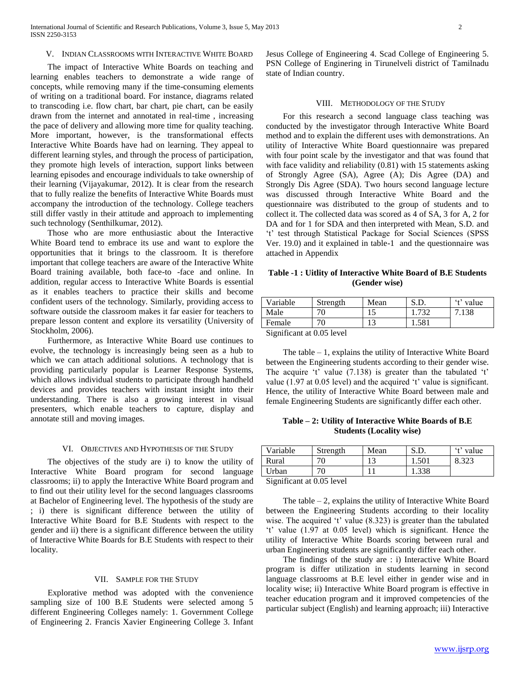# V. INDIAN CLASSROOMS WITH INTERACTIVE WHITE BOARD

 The impact of Interactive White Boards on teaching and learning enables teachers to demonstrate a wide range of concepts, while removing many if the time-consuming elements of writing on a traditional board. For instance, diagrams related to transcoding i.e. flow chart, bar chart, pie chart, can be easily drawn from the internet and annotated in real-time , increasing the pace of delivery and allowing more time for quality teaching. More important, however, is the transformational effects Interactive White Boards have had on learning. They appeal to different learning styles, and through the process of participation, they promote high levels of interaction, support links between learning episodes and encourage individuals to take ownership of their learning (Vijayakumar, 2012). It is clear from the research that to fully realize the benefits of Interactive White Boards must accompany the introduction of the technology. College teachers still differ vastly in their attitude and approach to implementing such technology (Senthilkumar, 2012).

 Those who are more enthusiastic about the Interactive White Board tend to embrace its use and want to explore the opportunities that it brings to the classroom. It is therefore important that college teachers are aware of the Interactive White Board training available, both face-to -face and online. In addition, regular access to Interactive White Boards is essential as it enables teachers to practice their skills and become confident users of the technology. Similarly, providing access to software outside the classroom makes it far easier for teachers to prepare lesson content and explore its versatility (University of Stockholm, 2006).

 Furthermore, as Interactive White Board use continues to evolve, the technology is increasingly being seen as a hub to which we can attach additional solutions. A technology that is providing particularly popular is Learner Response Systems, which allows individual students to participate through handheld devices and provides teachers with instant insight into their understanding. There is also a growing interest in visual presenters, which enable teachers to capture, display and annotate still and moving images.

#### VI. OBJECTIVES AND HYPOTHESIS OF THE STUDY

 The objectives of the study are i) to know the utility of Interactive White Board program for second language classrooms; ii) to apply the Interactive White Board program and to find out their utility level for the second languages classrooms at Bachelor of Engineering level. The hypothesis of the study are ; i) there is significant difference between the utility of Interactive White Board for B.E Students with respect to the gender and ii) there is a significant difference between the utility of Interactive White Boards for B.E Students with respect to their locality.

#### VII. SAMPLE FOR THE STUDY

 Explorative method was adopted with the convenience sampling size of 100 B.E Students were selected among 5 different Engineering Colleges namely: 1. Government College of Engineering 2. Francis Xavier Engineering College 3. Infant Jesus College of Engineering 4. Scad College of Engineering 5. PSN College of Enginering in Tirunelveli district of Tamilnadu state of Indian country.

## VIII. METHODOLOGY OF THE STUDY

 For this research a second language class teaching was conducted by the investigator through Interactive White Board method and to explain the different uses with demonstrations. An utility of Interactive White Board questionnaire was prepared with four point scale by the investigator and that was found that with face validity and reliability (0.81) with 15 statements asking of Strongly Agree (SA), Agree (A); Dis Agree (DA) and Strongly Dis Agree (SDA). Two hours second language lecture was discussed through Interactive White Board and the questionnaire was distributed to the group of students and to collect it. The collected data was scored as 4 of SA, 3 for A, 2 for DA and for 1 for SDA and then interpreted with Mean, S.D. and 't' test through Statistical Package for Social Sciences (SPSS Ver. 19.0) and it explained in table-1 and the questionnaire was attached in Appendix

## **Table -1 : Uitlity of Interactive White Board of B.E Students (Gender wise)**

| Variable                 | Strength                                  | Mean | C <sub>0</sub><br>ນ.ມ. | 't' value |
|--------------------------|-------------------------------------------|------|------------------------|-----------|
| Male                     | 70                                        |      | $72^{\circ}$           | 7.138     |
| Female                   | 7ſ                                        |      | 1.581                  |           |
| $\cdot$ $\sim$<br>$\sim$ | $\sim$ $\sim$ $\sim$ $\sim$ $\sim$ $\sim$ |      |                        |           |

Significant at 0.05 level

The table  $-1$ , explains the utility of Interactive White Board between the Engineering students according to their gender wise. The acquire 't' value (7.138) is greater than the tabulated 't' value (1.97 at 0.05 level) and the acquired 't' value is significant. Hence, the utility of Interactive White Board between male and female Engineering Students are significantly differ each other.

**Table – 2: Utility of Interactive White Boards of B.E Students (Locality wise)**

| Variable                           | Strength | Mean | S.D.  | 't' value |  |
|------------------------------------|----------|------|-------|-----------|--|
| Rural                              | 70       |      | 1.501 | 8.323     |  |
| Urban                              | 70       |      | 1.338 |           |  |
| $C_{ion}$ from $\alpha$ 0.05 lavel |          |      |       |           |  |

Significant at 0.05 level

The table  $-2$ , explains the utility of Interactive White Board between the Engineering Students according to their locality wise. The acquired 't' value (8.323) is greater than the tabulated 't' value (1.97 at 0.05 level) which is significant. Hence the utility of Interactive White Boards scoring between rural and urban Engineering students are significantly differ each other.

 The findings of the study are : i) Interactive White Board program is differ utilization in students learning in second language classrooms at B.E level either in gender wise and in locality wise; ii) Interactive White Board program is effective in teacher education program and it improved competencies of the particular subject (English) and learning approach; iii) Interactive